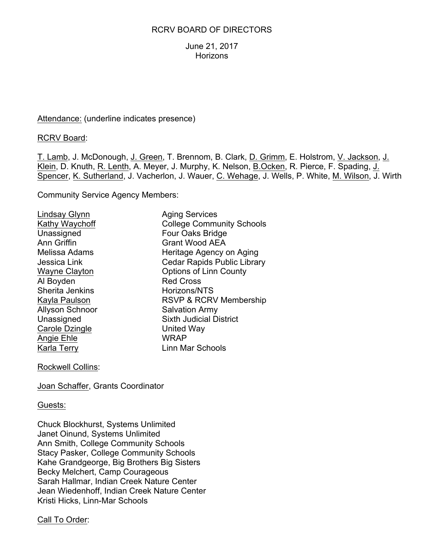### RCRV BOARD OF DIRECTORS

June 21, 2017 **Horizons** 

Attendance: (underline indicates presence)

RCRV Board:

T. Lamb, J. McDonough, J. Green, T. Brennom, B. Clark, D. Grimm, E. Holstrom, V. Jackson, J. Klein, D. Knuth, R. Lenth, A. Meyer, J. Murphy, K. Nelson, B.Ocken, R. Pierce, F. Spading, J. Spencer, K. Sutherland, J. Vacherlon, J. Wauer, C. Wehage, J. Wells, P. White, M. Wilson, J. Wirth

Community Service Agency Members:

Lindsay Glynn Aging Services Al Boyden Red Cross Sherita Jenkins Horizons/NTS Allyson Schnoor Salvation Army Carole Dzingle **United Way** Angie Ehle WRAP

Kathy Waychoff **College Community Schools** Unassigned Four Oaks Bridge Ann Griffin Grant Wood AEA Melissa Adams **Heritage Agency on Aging** Jessica Link Cedar Rapids Public Library Wayne Clayton **Canada County** Options of Linn County Kayla Paulson RSVP & RCRV Membership Unassigned Sixth Judicial District Karla Terry **Linn Mar Schools** 

Rockwell Collins:

Joan Schaffer, Grants Coordinator

#### Guests:

Chuck Blockhurst, Systems Unlimited Janet Oinund, Systems Unlimited Ann Smith, College Community Schools Stacy Pasker, College Community Schools Kahe Grandgeorge, Big Brothers Big Sisters Becky Melchert, Camp Courageous Sarah Hallmar, Indian Creek Nature Center Jean Wiedenhoff, Indian Creek Nature Center Kristi Hicks, Linn-Mar Schools

Call To Order: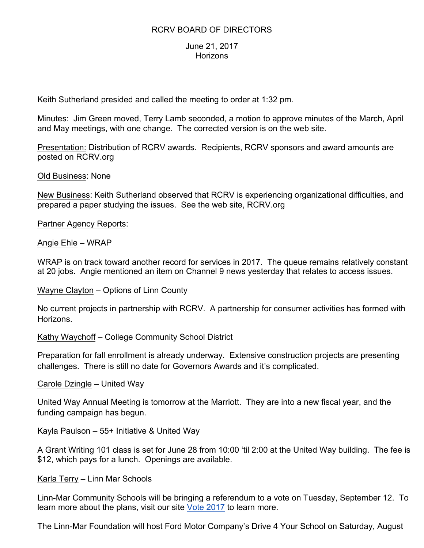## RCRV BOARD OF DIRECTORS

### June 21, 2017 **Horizons**

Keith Sutherland presided and called the meeting to order at 1:32 pm.

Minutes: Jim Green moved, Terry Lamb seconded, a motion to approve minutes of the March, April and May meetings, with one change. The corrected version is on the web site.

Presentation: Distribution of RCRV awards. Recipients, RCRV sponsors and award amounts are posted on RCRV.org

Old Business: None

New Business: Keith Sutherland observed that RCRV is experiencing organizational difficulties, and prepared a paper studying the issues. See the web site, RCRV.org

Partner Agency Reports:

Angie Ehle – WRAP

WRAP is on track toward another record for services in 2017. The queue remains relatively constant at 20 jobs. Angie mentioned an item on Channel 9 news yesterday that relates to access issues.

Wayne Clayton – Options of Linn County

No current projects in partnership with RCRV. A partnership for consumer activities has formed with Horizons.

Kathy Waychoff – College Community School District

Preparation for fall enrollment is already underway. Extensive construction projects are presenting challenges. There is still no date for Governors Awards and it's complicated.

Carole Dzingle – United Way

United Way Annual Meeting is tomorrow at the Marriott. They are into a new fiscal year, and the funding campaign has begun.

Kayla Paulson – 55+ Initiative & United Way

A Grant Writing 101 class is set for June 28 from 10:00 'til 2:00 at the United Way building. The fee is \$12, which pays for a lunch. Openings are available.

Karla Terry – Linn Mar Schools

Linn-Mar Community Schools will be bringing a referendum to a vote on Tuesday, September 12. To learn more about the plans, visit our site Vote 2017 to learn more.

The Linn-Mar Foundation will host Ford Motor Company's Drive 4 Your School on Saturday, August